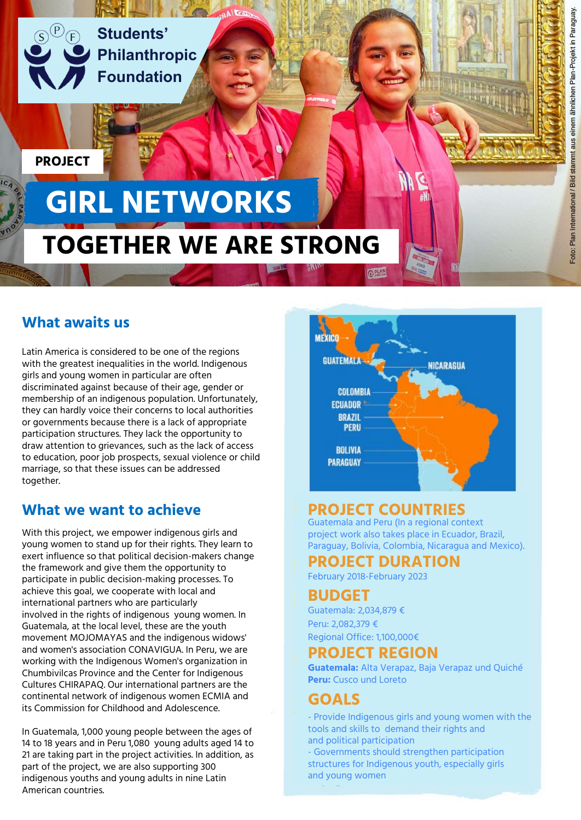

**Students' Philanthropic Foundation**

**PROJECT**

# **TOGETHER WE ARE STRONG GIRL NETWORKS**

# **What awaits us**

Latin America is considered to be one of the regions with the greatest inequalities in the world. Indigenous girls and young women in particular are often discriminated against because of their age, gender or membership of an indigenous population. Unfortunately, they can hardly voice their concerns to local authorities or governments because there is a lack of appropriate participation structures. They lack the opportunity to draw attention to grievances, such as the lack of access to education, poor job prospects, sexual violence or child marriage, so that these issues can be addressed together.

## **What we want to achieve**

With this project, we empower indigenous girls and young women to stand up for their rights. They learn to exert influence so that political decision-makers change the framework and give them the opportunity to participate in public decision-making processes. To achieve this goal, we cooperate with local and international partners who are particularly involved in the rights of indigenous young women. In Guatemala, at the local level, these are the youth movement MOJOMAYAS and the indigenous widows' and women's association CONAVIGUA. In Peru, we are working with the Indigenous Women's organization in Chumbivilcas Province and the Center for Indigenous Cultures CHIRAPAQ. Our international partners are the continental network of indigenous women ECMIA and its Commission for Childhood and Adolescence.

In Guatemala, 1,000 young people between the ages of 14 to 18 years and in Peru 1,080 young adults aged 14 to 21 are taking part in the project activities. In addition, as part of the project, we are also supporting 300 indigenous youths and young adults in nine Latin American countries.



# **PROJECT COUNTRIES**

Guatemala and Peru (In a regional context project work also takes place in Ecuador, Brazil, Paraguay, Bolivia, Colombia, Nicaragua and Mexico).

# **PROJECT DURATION**

February 2018-February 2023

#### **BUDGET**

Guatemala: 2,034,879 € Peru: 2,082,379 € Regional Office: 1,100,000€

#### **PROJECT REGION**

**Guatemala:** Alta Verapaz, Baja Verapaz und Quiché **Peru:** Cusco und Loreto

## **GOALS**

- Provide Indigenous girls and young women with the tools and skills to demand their rights and and political participation - Governments should strengthen participation

structures for Indigenous youth, especially girls and young women